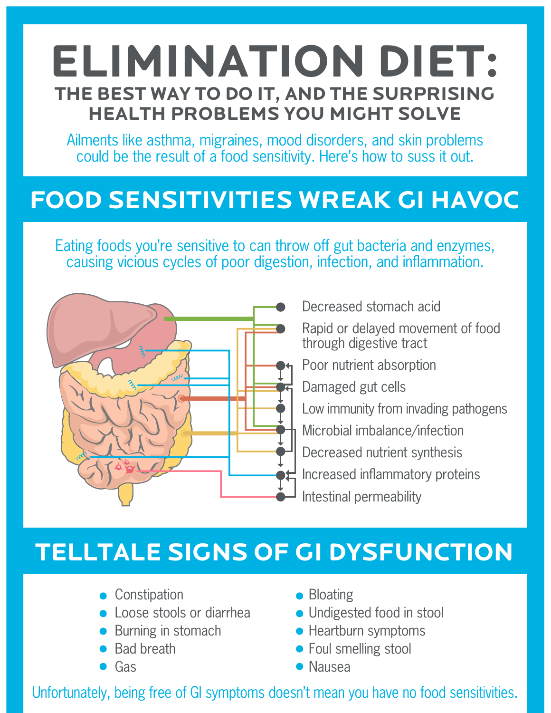## **ELIMINATION DIET: THE BEST WAY TO DO IT, AND THE SURPRISING HEALTH PROBLEMS YOU MIGHT SOLVE**

Ailments like asthma, migraines, mood disorders, and skin problems could be the result of a food sensitivity. Here's how to suss it out.

## **FOOD SENSITIVITIES WREAK GI HAVOC**

Eating foods you're sensitive to can throw off gut bacteria and enzymes, causing vicious cycles of poor digestion, infection, and inflammation.



Rapid or delayed movement of food through digestive tract Poor nutrient absorption Damaged gut cells Low immunity from invading pathogens Microbial imbalance/infection Decreased nutrient synthesis Increased inflammatory proteins Intestinal permeability

Decreased stomach acid

## **TELLTALE SIGNS OF GI DYSFUNCTION**

- Constipation
- **Loose stools or diarrhea**
- Burning in stomach
- Bad breath
- $\bullet$  Gas
- Bloating
- Undigested food in stool
- Heartburn symptoms
- **•** Foul smelling stool
- Nausea

Unfortunately, being free of GI symptoms doesn't mean you have no food sensitivities.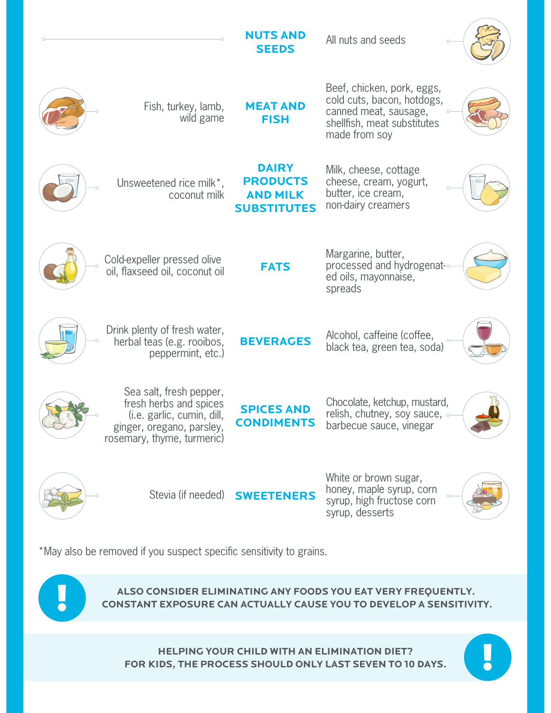|                                                                                                                                            | <b>NUTS AND</b><br><b>SEEDS</b>                                          | All nuts and seeds                                                                                        |  |
|--------------------------------------------------------------------------------------------------------------------------------------------|--------------------------------------------------------------------------|-----------------------------------------------------------------------------------------------------------|--|
| *Wild fish, turkey,<br>lamb, wild game,<br>beef, chicken, pork                                                                             | <b>MEAT AND</b><br><b>FISH</b>                                           | Eggs, cold cuts, bacon,<br>hotdogs, canned meat,<br>sausage, shellfish, meat<br>substitutes made from soy |  |
| Unsweetened rice milk*,<br>coconut milk                                                                                                    | <b>DAIRY</b><br><b>PRODUCTS</b><br><b>AND MILK</b><br><b>SUBSTITUTES</b> | Milk, cheese, cottage<br>cheese, cream, yogurt,<br>butter, ice cream,<br>non-dairy creamers               |  |
| Cold-expeller pressed olive<br>oil, flaxseed oil, coconut<br>oil, avocado oil, lard, tallow                                                | <b>FATS</b>                                                              | Margarine, butter,<br>processed and<br>hydrogenat-ed oils,<br>mayonnaise, spreads                         |  |
| Drink plenty of fresh water,<br>herbal teas (e.g. rooibos,<br>peppermint, etc.)                                                            | <b>BEVERAGES</b>                                                         | Alcohol, caffeine (coffee,<br>black tea, green tea, soda)                                                 |  |
| Sea salt, fresh pepper,<br>fresh herbs and spices<br>(i.e. garlic, cumin, dill,<br>ginger, oregano, parsley,<br>rosemary, thyme, turmeric) | <b>SPICES AND</b><br><b>CONDIMENTS</b>                                   | Chocolate, ketchup, mustard,<br>relish, chutney, soy sauce, $\circ$<br>barbecue sauce, vinegar            |  |
| Stevia (if needed)                                                                                                                         | <b>SWEETENERS</b>                                                        | White or brown sugar,<br>honey, maple syrup, corn<br>syrup, high fructose corn<br>syrup, desserts         |  |

\*May also be removed if you suspect specific sensitivity to grains. \*Meat products should be organic or grass-fed.



**ALSO CONSIDER ELIMINATING ANY FOODS YOU EAT VERY FREQUENTLY. CONSTANT EXPOSURE CAN ACTUALLY CAUSE YOU TO DEVELOP A SENSITIVITY.**

**HELPING YOUR CHILD WITH AN ELIMINATION DIET? FOR KIDS, THE PROCESS SHOULD ONLY LAST SEVEN TO 10 DAYS.**

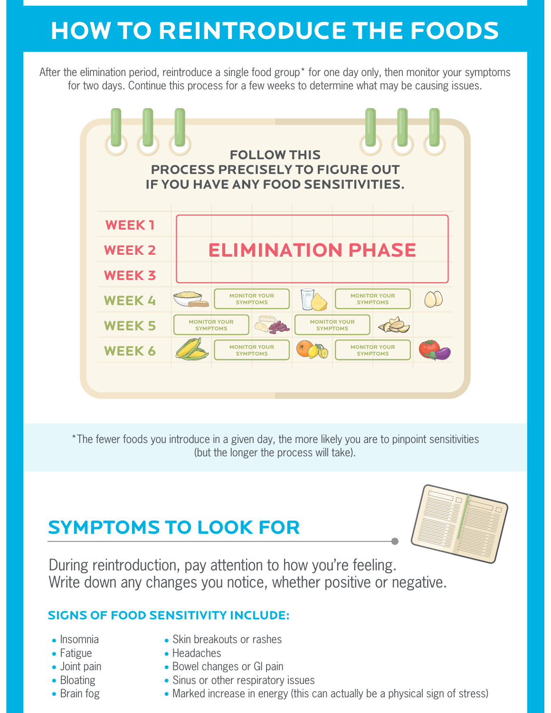# **HOW TO REINTRODUCE THE FOODS**

After the elimination period, reintroduce a single food group\* for one day only, then monitor your symptoms for two days. Continue this process for a few weeks to determine what may be causing issues.



\*The fewer foods you introduce in a given day, the more likely you are to pinpoint sensitivities (but the longer the process will take).

### **SYMPTOMS TO LOOK FOR**



During reintroduction, pay attention to how you're feeling. Write down any changes you notice, whether positive or negative.

#### **SIGNS OF FOOD SENSITIVITY INCLUDE:**

- Insomnia
- Fatigue
- Joint pain
- Bloating
- Brain fog
- Skin breakouts or rashes
- Headaches
- Bowel changes or GI pain
- Sinus or other respiratory issues
- Marked increase in energy (this can actually be a physical sign of stress)